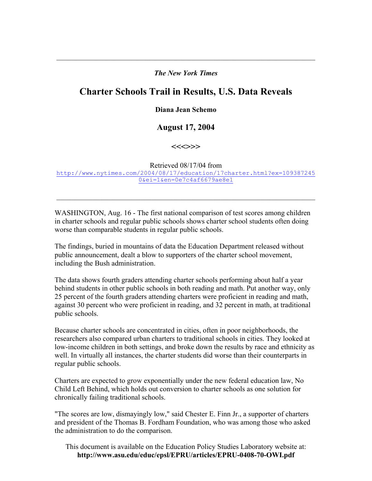*The New York Times* 

 $\mathcal{L}_\text{max}$  , and the contribution of the contribution of the contribution of the contribution of the contribution of the contribution of the contribution of the contribution of the contribution of the contribution of t

## **Charter Schools Trail in Results, U.S. Data Reveals**

## **Diana Jean Schemo**

**August 17, 2004** 

**<<<>>>** 

Retrieved 08/17/04 from

http://www.nytimes.com/2004/08/17/education/17charter.html?ex=109387245 0&ei=1&en=0e7c4af6679ae8e1

 $\mathcal{L}_\text{max} = \mathcal{L}_\text{max} = \mathcal{L}_\text{max} = \mathcal{L}_\text{max} = \mathcal{L}_\text{max} = \mathcal{L}_\text{max} = \mathcal{L}_\text{max} = \mathcal{L}_\text{max} = \mathcal{L}_\text{max} = \mathcal{L}_\text{max} = \mathcal{L}_\text{max} = \mathcal{L}_\text{max} = \mathcal{L}_\text{max} = \mathcal{L}_\text{max} = \mathcal{L}_\text{max} = \mathcal{L}_\text{max} = \mathcal{L}_\text{max} = \mathcal{L}_\text{max} = \mathcal{$ 

WASHINGTON, Aug. 16 - The first national comparison of test scores among children in charter schools and regular public schools shows charter school students often doing worse than comparable students in regular public schools.

The findings, buried in mountains of data the Education Department released without public announcement, dealt a blow to supporters of the charter school movement, including the Bush administration.

The data shows fourth graders attending charter schools performing about half a year behind students in other public schools in both reading and math. Put another way, only 25 percent of the fourth graders attending charters were proficient in reading and math, against 30 percent who were proficient in reading, and 32 percent in math, at traditional public schools.

Because charter schools are concentrated in cities, often in poor neighborhoods, the researchers also compared urban charters to traditional schools in cities. They looked at low-income children in both settings, and broke down the results by race and ethnicity as well. In virtually all instances, the charter students did worse than their counterparts in regular public schools.

Charters are expected to grow exponentially under the new federal education law, No Child Left Behind, which holds out conversion to charter schools as one solution for chronically failing traditional schools.

"The scores are low, dismayingly low," said Chester E. Finn Jr., a supporter of charters and president of the Thomas B. Fordham Foundation, who was among those who asked the administration to do the comparison.

This document is available on the Education Policy Studies Laboratory website at: **http://www.asu.edu/educ/epsl/EPRU/articles/EPRU-0408-70-OWI.pdf**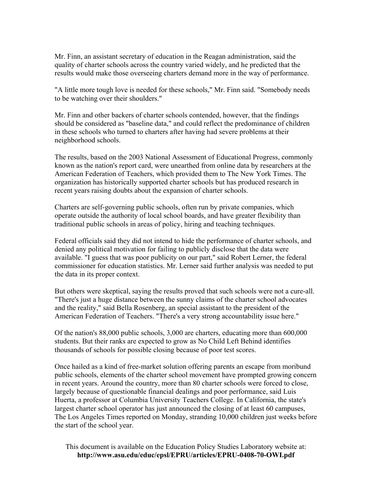Mr. Finn, an assistant secretary of education in the Reagan administration, said the quality of charter schools across the country varied widely, and he predicted that the results would make those overseeing charters demand more in the way of performance.

"A little more tough love is needed for these schools," Mr. Finn said. "Somebody needs to be watching over their shoulders."

Mr. Finn and other backers of charter schools contended, however, that the findings should be considered as "baseline data," and could reflect the predominance of children in these schools who turned to charters after having had severe problems at their neighborhood schools.

The results, based on the 2003 National Assessment of Educational Progress, commonly known as the nation's report card, were unearthed from online data by researchers at the American Federation of Teachers, which provided them to The New York Times. The organization has historically supported charter schools but has produced research in recent years raising doubts about the expansion of charter schools.

Charters are self-governing public schools, often run by private companies, which operate outside the authority of local school boards, and have greater flexibility than traditional public schools in areas of policy, hiring and teaching techniques.

Federal officials said they did not intend to hide the performance of charter schools, and denied any political motivation for failing to publicly disclose that the data were available. "I guess that was poor publicity on our part," said Robert Lerner, the federal commissioner for education statistics. Mr. Lerner said further analysis was needed to put the data in its proper context.

But others were skeptical, saying the results proved that such schools were not a cure-all. "There's just a huge distance between the sunny claims of the charter school advocates and the reality," said Bella Rosenberg, an special assistant to the president of the American Federation of Teachers. "There's a very strong accountability issue here."

Of the nation's 88,000 public schools, 3,000 are charters, educating more than 600,000 students. But their ranks are expected to grow as No Child Left Behind identifies thousands of schools for possible closing because of poor test scores.

Once hailed as a kind of free-market solution offering parents an escape from moribund public schools, elements of the charter school movement have prompted growing concern in recent years. Around the country, more than 80 charter schools were forced to close, largely because of questionable financial dealings and poor performance, said Luis Huerta, a professor at Columbia University Teachers College. In California, the state's largest charter school operator has just announced the closing of at least 60 campuses, The Los Angeles Times reported on Monday, stranding 10,000 children just weeks before the start of the school year.

This document is available on the Education Policy Studies Laboratory website at: **http://www.asu.edu/educ/epsl/EPRU/articles/EPRU-0408-70-OWI.pdf**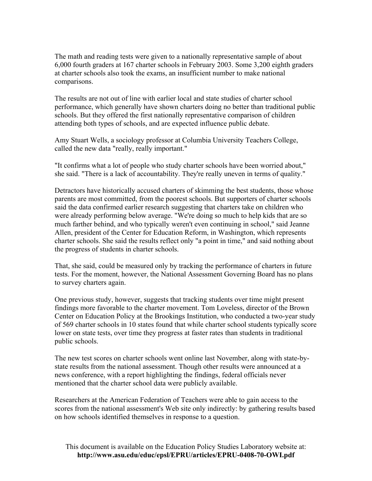The math and reading tests were given to a nationally representative sample of about 6,000 fourth graders at 167 charter schools in February 2003. Some 3,200 eighth graders at charter schools also took the exams, an insufficient number to make national comparisons.

The results are not out of line with earlier local and state studies of charter school performance, which generally have shown charters doing no better than traditional public schools. But they offered the first nationally representative comparison of children attending both types of schools, and are expected influence public debate.

Amy Stuart Wells, a sociology professor at Columbia University Teachers College, called the new data "really, really important."

"It confirms what a lot of people who study charter schools have been worried about," she said. "There is a lack of accountability. They're really uneven in terms of quality."

Detractors have historically accused charters of skimming the best students, those whose parents are most committed, from the poorest schools. But supporters of charter schools said the data confirmed earlier research suggesting that charters take on children who were already performing below average. "We're doing so much to help kids that are so much farther behind, and who typically weren't even continuing in school," said Jeanne Allen, president of the Center for Education Reform, in Washington, which represents charter schools. She said the results reflect only "a point in time," and said nothing about the progress of students in charter schools.

That, she said, could be measured only by tracking the performance of charters in future tests. For the moment, however, the National Assessment Governing Board has no plans to survey charters again.

One previous study, however, suggests that tracking students over time might present findings more favorable to the charter movement. Tom Loveless, director of the Brown Center on Education Policy at the Brookings Institution, who conducted a two-year study of 569 charter schools in 10 states found that while charter school students typically score lower on state tests, over time they progress at faster rates than students in traditional public schools.

The new test scores on charter schools went online last November, along with state-bystate results from the national assessment. Though other results were announced at a news conference, with a report highlighting the findings, federal officials never mentioned that the charter school data were publicly available.

Researchers at the American Federation of Teachers were able to gain access to the scores from the national assessment's Web site only indirectly: by gathering results based on how schools identified themselves in response to a question.